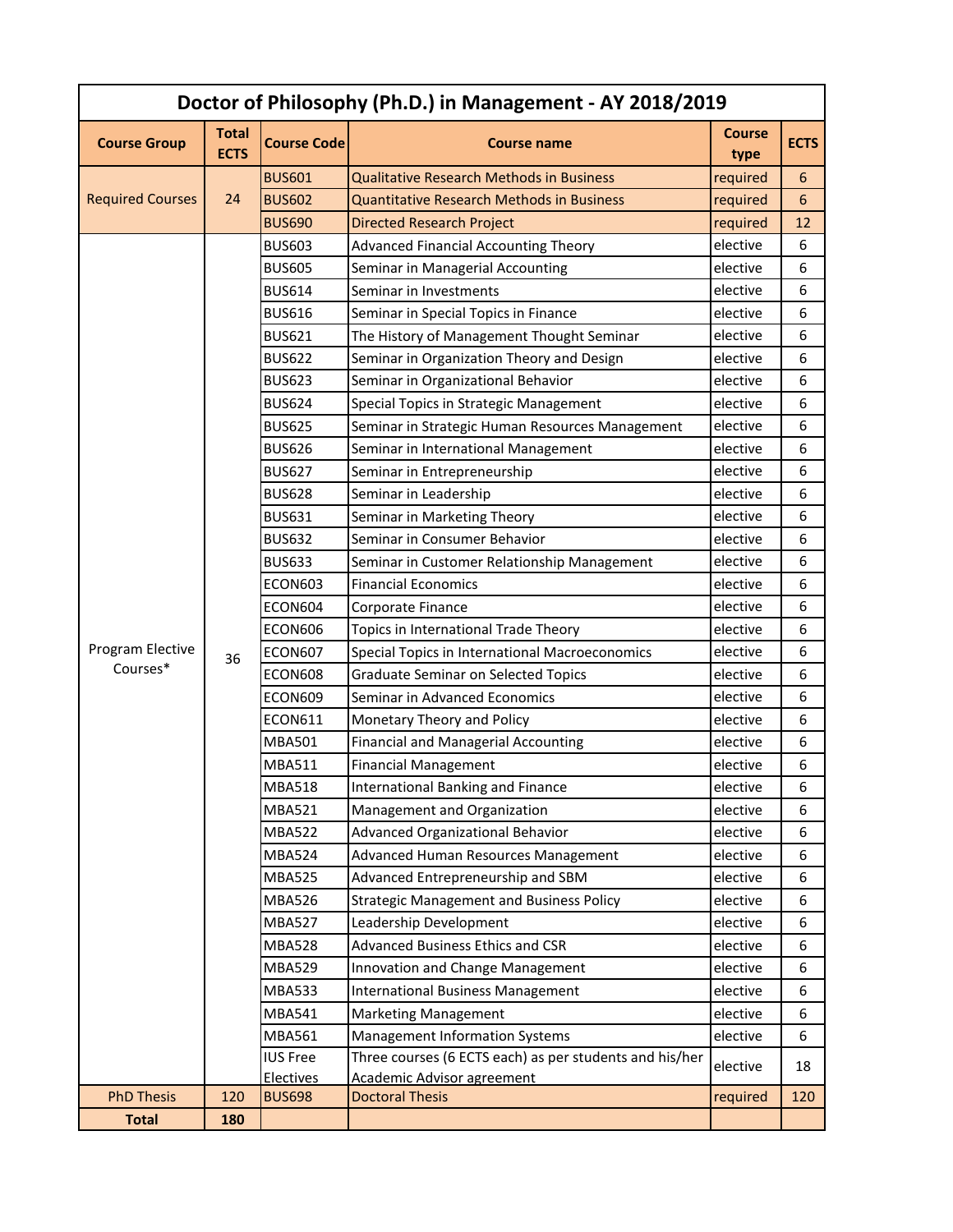| Doctor of Philosophy (Ph.D.) in Management - AY 2018/2019 |                             |                            |                                                             |                       |             |  |  |
|-----------------------------------------------------------|-----------------------------|----------------------------|-------------------------------------------------------------|-----------------------|-------------|--|--|
| <b>Course Group</b>                                       | <b>Total</b><br><b>ECTS</b> | <b>Course Code</b>         | <b>Course name</b>                                          | <b>Course</b><br>type | <b>ECTS</b> |  |  |
|                                                           |                             | <b>BUS601</b>              | <b>Qualitative Research Methods in Business</b>             | required              | 6           |  |  |
| <b>Required Courses</b>                                   | 24                          | <b>BUS602</b>              | <b>Quantitative Research Methods in Business</b>            | required              | 6           |  |  |
|                                                           |                             | <b>BUS690</b>              | <b>Directed Research Project</b>                            | required              | 12          |  |  |
|                                                           | 36                          | <b>BUS603</b>              | <b>Advanced Financial Accounting Theory</b>                 | elective              | 6           |  |  |
|                                                           |                             | <b>BUS605</b>              | Seminar in Managerial Accounting                            | elective              | 6           |  |  |
|                                                           |                             | <b>BUS614</b>              | Seminar in Investments                                      | elective              | 6           |  |  |
|                                                           |                             | <b>BUS616</b>              | Seminar in Special Topics in Finance                        | elective              | 6           |  |  |
|                                                           |                             | <b>BUS621</b>              | The History of Management Thought Seminar                   | elective              | 6           |  |  |
|                                                           |                             | <b>BUS622</b>              | Seminar in Organization Theory and Design                   | elective              | 6           |  |  |
|                                                           |                             | <b>BUS623</b>              | Seminar in Organizational Behavior                          | elective              | 6           |  |  |
|                                                           |                             | <b>BUS624</b>              | Special Topics in Strategic Management                      | elective              | 6           |  |  |
|                                                           |                             | <b>BUS625</b>              | Seminar in Strategic Human Resources Management             | elective              | 6           |  |  |
|                                                           |                             | <b>BUS626</b>              | Seminar in International Management                         | elective              | 6           |  |  |
|                                                           |                             | <b>BUS627</b>              | Seminar in Entrepreneurship                                 | elective              | 6           |  |  |
|                                                           |                             | <b>BUS628</b>              | Seminar in Leadership                                       | elective              | 6           |  |  |
| Program Elective<br>Courses*                              |                             | <b>BUS631</b>              | Seminar in Marketing Theory                                 | elective              | 6           |  |  |
|                                                           |                             | <b>BUS632</b>              | Seminar in Consumer Behavior                                | elective              | 6           |  |  |
|                                                           |                             | <b>BUS633</b>              | Seminar in Customer Relationship Management                 | elective              | 6           |  |  |
|                                                           |                             | ECON603                    | <b>Financial Economics</b>                                  | elective              | 6           |  |  |
|                                                           |                             | ECON604                    | Corporate Finance                                           | elective              | 6           |  |  |
|                                                           |                             | ECON606                    | Topics in International Trade Theory                        | elective              | 6           |  |  |
|                                                           |                             | <b>ECON607</b>             | Special Topics in International Macroeconomics              | elective              | 6           |  |  |
|                                                           |                             | ECON608                    | <b>Graduate Seminar on Selected Topics</b>                  | elective              | 6           |  |  |
|                                                           |                             | ECON609                    | Seminar in Advanced Economics                               | elective              | 6           |  |  |
|                                                           |                             | <b>ECON611</b>             | Monetary Theory and Policy                                  | elective              | 6           |  |  |
|                                                           |                             | <b>MBA501</b>              | <b>Financial and Managerial Accounting</b>                  | elective              | 6           |  |  |
|                                                           |                             | <b>MBA511</b>              | <b>Financial Management</b>                                 | elective              | 6           |  |  |
|                                                           |                             | <b>MBA518</b>              | <b>International Banking and Finance</b>                    | elective              | 6           |  |  |
|                                                           |                             | <b>MBA521</b>              | Management and Organization                                 | elective              | 6           |  |  |
|                                                           |                             | <b>MBA522</b>              | Advanced Organizational Behavior                            | elective              | 6           |  |  |
|                                                           |                             | <b>MBA524</b>              | Advanced Human Resources Management                         | elective              | 6           |  |  |
|                                                           |                             | <b>MBA525</b>              | Advanced Entrepreneurship and SBM                           | elective              | 6           |  |  |
|                                                           |                             | <b>MBA526</b>              | <b>Strategic Management and Business Policy</b>             | elective              | 6           |  |  |
|                                                           |                             | <b>MBA527</b>              | Leadership Development                                      | elective              | 6           |  |  |
|                                                           |                             | <b>MBA528</b>              | Advanced Business Ethics and CSR                            | elective              | 6           |  |  |
|                                                           |                             | <b>MBA529</b>              | Innovation and Change Management                            | elective              | 6           |  |  |
|                                                           |                             | <b>MBA533</b>              | <b>International Business Management</b>                    | elective              | 6           |  |  |
|                                                           |                             | <b>MBA541</b>              | <b>Marketing Management</b>                                 | elective              | 6           |  |  |
|                                                           |                             | <b>MBA561</b>              | Management Information Systems                              | elective              | 6           |  |  |
|                                                           |                             | <b>IUS Free</b>            | Three courses (6 ECTS each) as per students and his/her     | elective              | 18          |  |  |
| <b>PhD Thesis</b>                                         | 120                         | Electives<br><b>BUS698</b> | <b>Academic Advisor agreement</b><br><b>Doctoral Thesis</b> | required              | 120         |  |  |
| <b>Total</b>                                              | 180                         |                            |                                                             |                       |             |  |  |